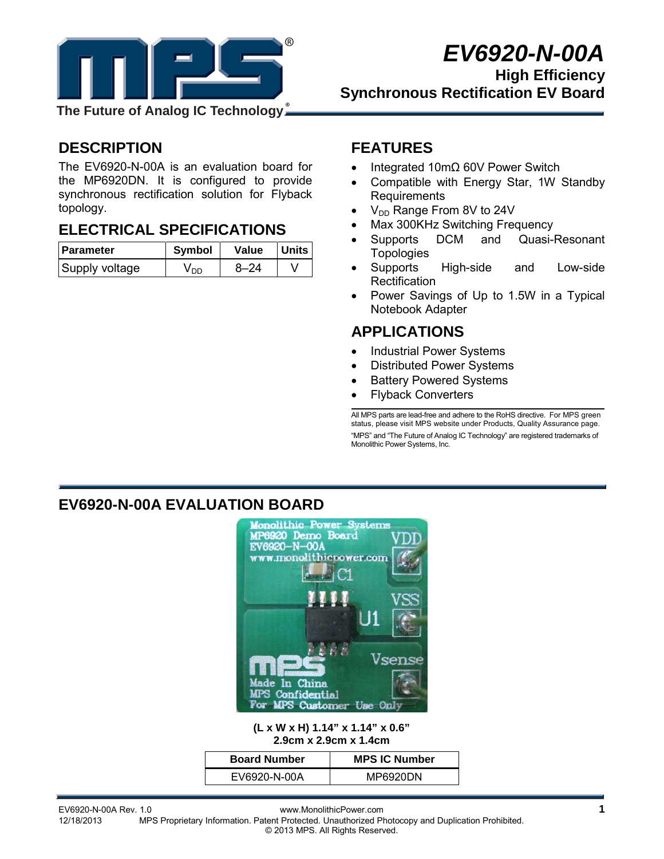

# *EV6920-N-00A*

**High Efficiency Synchronous Rectification EV Board** 

**The Future of Analog IC Technology**

# **DESCRIPTION**

The EV6920-N-00A is an evaluation board for the MP6920DN. It is configured to provide synchronous rectification solution for Flyback topology.

# **ELECTRICAL SPECIFICATIONS**

| <b>Parameter</b> | <b>Symbol</b> | Value    | Units |
|------------------|---------------|----------|-------|
| Supply voltage   | V nn          | $8 - 24$ |       |

# **FEATURES**

- Integrated 10mΩ 60V Power Switch
- Compatible with Energy Star, 1W Standby Requirements
- $V_{DD}$  Range From 8V to 24V
- Max 300KHz Switching Frequency
- Supports DCM and Quasi-Resonant **Topologies**
- Supports High-side and Low-side **Rectification**
- Power Savings of Up to 1.5W in a Typical Notebook Adapter

### **APPLICATIONS**

- Industrial Power Systems
- Distributed Power Systems
- **Battery Powered Systems**
- Flyback Converters

All MPS parts are lead-free and adhere to the RoHS directive. For MPS green status, please visit MPS website under Products, Quality Assurance page. "MPS" and "The Future of Analog IC Technology" are registered trademarks of Monolithic Power Systems, Inc.

### **EV6920-N-00A EVALUATION BOARD**



#### **(L x W x H) 1.14" x 1.14" x 0.6" 2.9cm x 2.9cm x 1.4cm**

| <b>Board Number</b> | <b>MPS IC Number</b> |
|---------------------|----------------------|
| EV6920-N-00A        | MP6920DN             |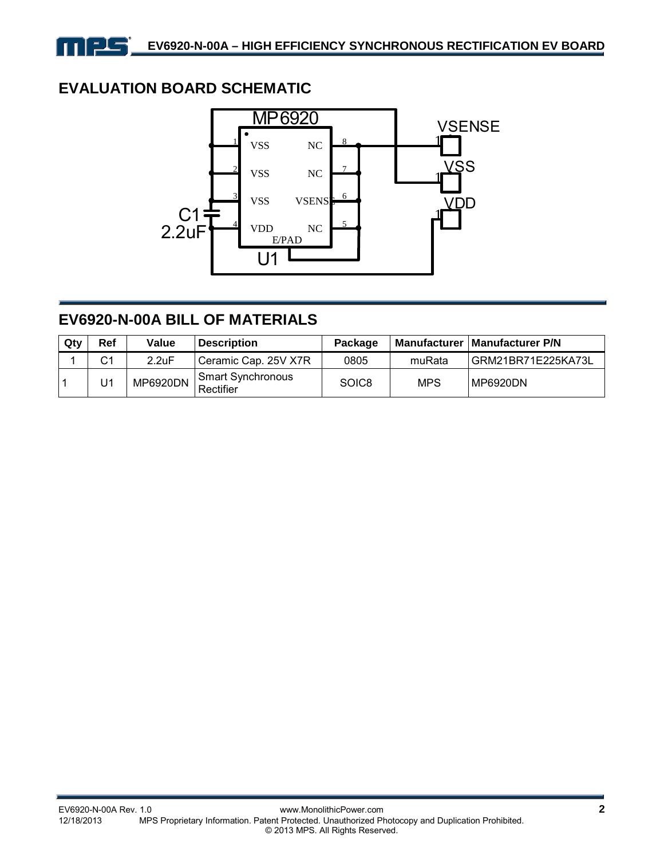# **EVALUATION BOARD SCHEMATIC**

كالع



# **EV6920-N-00A BILL OF MATERIALS**

| Qty | Ref            | Value    | <b>Description</b>             | Package |            | Manufacturer   Manufacturer P/N |
|-----|----------------|----------|--------------------------------|---------|------------|---------------------------------|
|     | C <sub>1</sub> | 2.2uF    | Ceramic Cap. 25V X7R           | 0805    | muRata     | GRM21BR71E225KA73L              |
|     | U1             | MP6920DN | Smart Synchronous<br>Rectifier | SOIC8   | <b>MPS</b> | MP6920DN                        |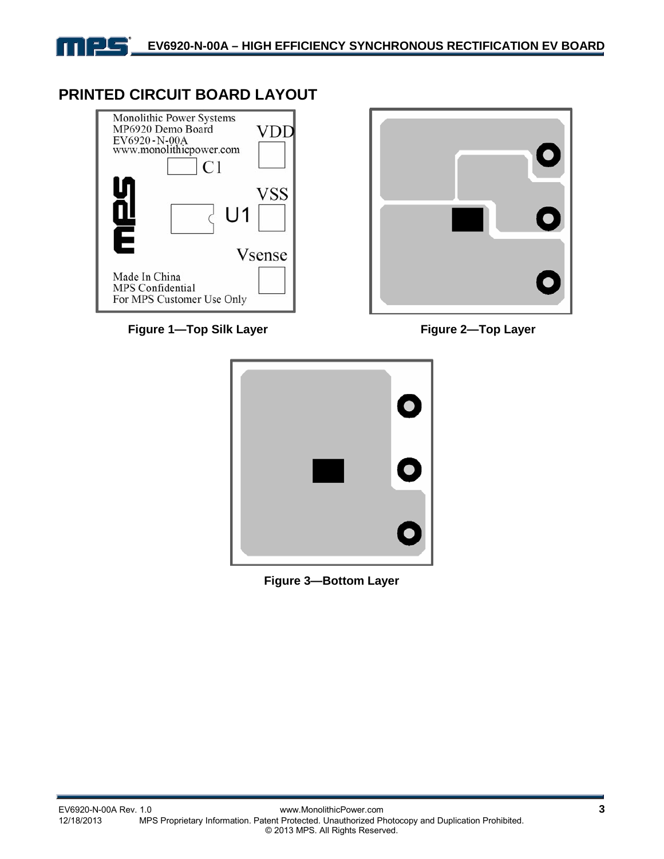

### **PRINTED CIRCUIT BOARD LAYOUT**



Figure 1—Top Silk Layer **Figure 2—Top Layer** 





**Figure 3—Bottom Layer**